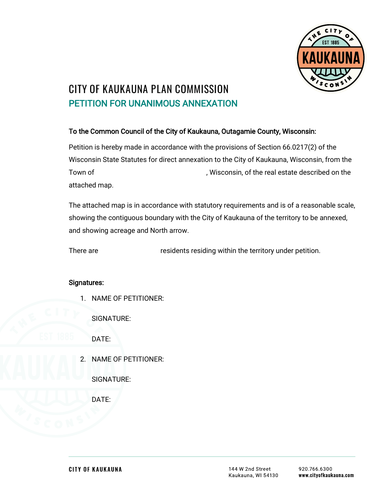

## **CITY OF KAUKAUNA PLAN COMMISSION** PETITION FOR UNANIMOUS ANNEXATION

## To the Common Council of the City of Kaukauna, Outagamie County, Wisconsin:

Petition is hereby made in accordance with the provisions of Section 66.0217(2) of the Wisconsin State Statutes for direct annexation to the City of Kaukauna, Wisconsin, from the Town of Town of  $\sim$  . Wisconsin, of the real estate described on the attached map.

The attached map is in accordance with statutory requirements and is of a reasonable scale, showing the contiguous boundary with the City of Kaukauna of the territory to be annexed, and showing acreage and North arrow.

There are residents residing within the territory under petition.

## Signatures:

1. NAME OF PETITIONER:

SIGNATURE:

DATE:

- 2. NAME OF PETITIONER:
	- SIGNATURE:

DATE: